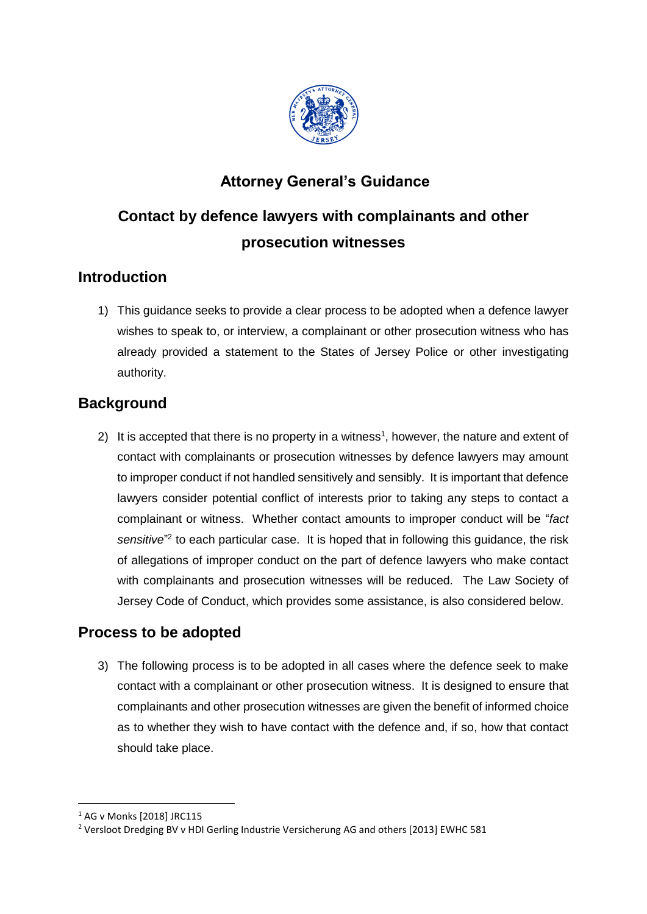

## **Attorney General's Guidance**

# **Contact by defence lawyers with complainants and other prosecution witnesses**

### **Introduction**

1) This guidance seeks to provide a clear process to be adopted when a defence lawyer wishes to speak to, or interview, a complainant or other prosecution witness who has already provided a statement to the States of Jersey Police or other investigating authority.

### **Background**

2) It is accepted that there is no property in a witness<sup>1</sup>, however, the nature and extent of contact with complainants or prosecution witnesses by defence lawyers may amount to improper conduct if not handled sensitively and sensibly. It is important that defence lawyers consider potential conflict of interests prior to taking any steps to contact a complainant or witness. Whether contact amounts to improper conduct will be "*fact* sensitive<sup>"2</sup> to each particular case. It is hoped that in following this guidance, the risk of allegations of improper conduct on the part of defence lawyers who make contact with complainants and prosecution witnesses will be reduced. The Law Society of Jersey Code of Conduct, which provides some assistance, is also considered below.

### **Process to be adopted**

3) The following process is to be adopted in all cases where the defence seek to make contact with a complainant or other prosecution witness. It is designed to ensure that complainants and other prosecution witnesses are given the benefit of informed choice as to whether they wish to have contact with the defence and, if so, how that contact should take place.

1

<sup>1</sup> AG v Monks [2018] JRC115

<sup>2</sup> Versloot Dredging BV v HDI Gerling Industrie Versicherung AG and others [2013] EWHC 581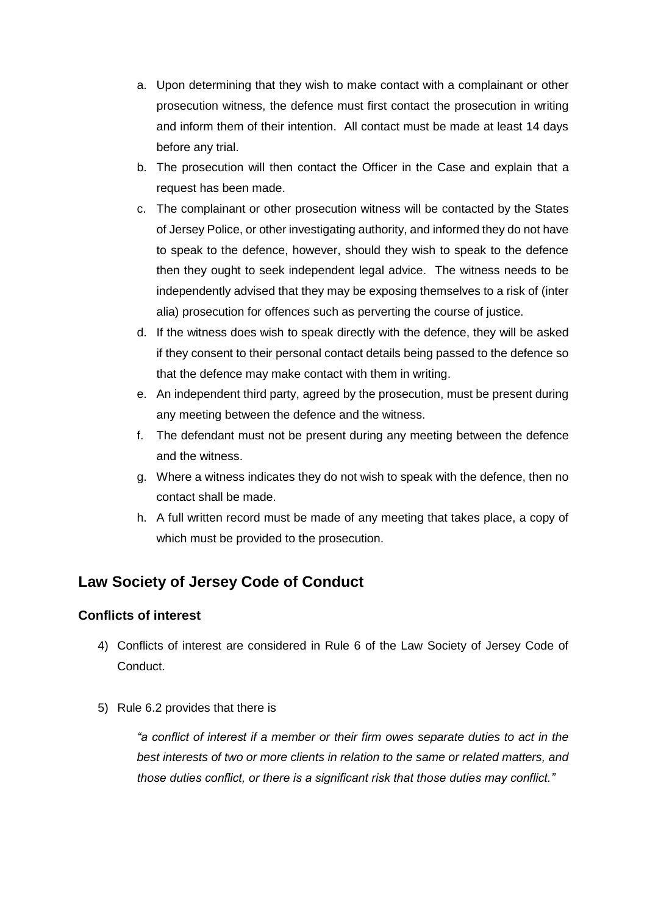- a. Upon determining that they wish to make contact with a complainant or other prosecution witness, the defence must first contact the prosecution in writing and inform them of their intention. All contact must be made at least 14 days before any trial.
- b. The prosecution will then contact the Officer in the Case and explain that a request has been made.
- c. The complainant or other prosecution witness will be contacted by the States of Jersey Police, or other investigating authority, and informed they do not have to speak to the defence, however, should they wish to speak to the defence then they ought to seek independent legal advice. The witness needs to be independently advised that they may be exposing themselves to a risk of (inter alia) prosecution for offences such as perverting the course of justice.
- d. If the witness does wish to speak directly with the defence, they will be asked if they consent to their personal contact details being passed to the defence so that the defence may make contact with them in writing.
- e. An independent third party, agreed by the prosecution, must be present during any meeting between the defence and the witness.
- f. The defendant must not be present during any meeting between the defence and the witness.
- g. Where a witness indicates they do not wish to speak with the defence, then no contact shall be made.
- h. A full written record must be made of any meeting that takes place, a copy of which must be provided to the prosecution.

### **Law Society of Jersey Code of Conduct**

#### **Conflicts of interest**

- 4) Conflicts of interest are considered in Rule 6 of the Law Society of Jersey Code of Conduct.
- 5) Rule 6.2 provides that there is

*"a conflict of interest if a member or their firm owes separate duties to act in the best interests of two or more clients in relation to the same or related matters, and those duties conflict, or there is a significant risk that those duties may conflict."*